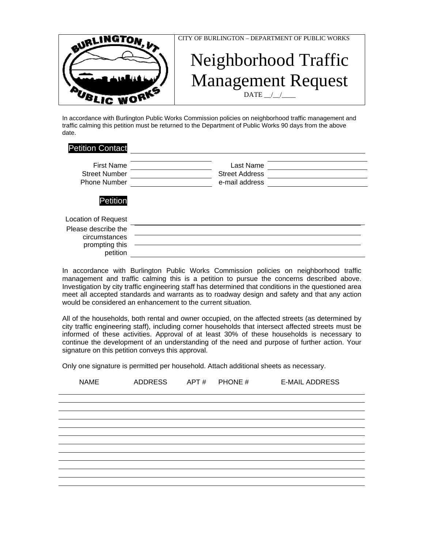

CITY OF BURLINGTON – DEPARTMENT OF PUBLIC WORKS

## Neighborhood Traffic Management Request  $\text{DATE}$   $\_\_\_\$

In accordance with Burlington Public Works Commission policies on neighborhood traffic management and traffic calming this petition must be returned to the Department of Public Works 90 days from the above date.

| <b>Petition Contact</b>                                            |                                                      |
|--------------------------------------------------------------------|------------------------------------------------------|
| <b>First Name</b><br><b>Street Number</b><br><b>Phone Number</b>   | Last Name<br><b>Street Address</b><br>e-mail address |
| Petition                                                           |                                                      |
| <b>Location of Request</b>                                         |                                                      |
| Please describe the<br>circumstances<br>prompting this<br>petition |                                                      |

In accordance with Burlington Public Works Commission policies on neighborhood traffic management and traffic calming this is a petition to pursue the concerns described above. Investigation by city traffic engineering staff has determined that conditions in the questioned area meet all accepted standards and warrants as to roadway design and safety and that any action would be considered an enhancement to the current situation.

All of the households, both rental and owner occupied, on the affected streets (as determined by city traffic engineering staff), including corner households that intersect affected streets must be informed of these activities. Approval of at least 30% of these households is necessary to continue the development of an understanding of the need and purpose of further action. Your signature on this petition conveys this approval.

Only one signature is permitted per household. Attach additional sheets as necessary.

| <b>NAME</b> | <b>ADDRESS</b> | APT# | PHONE # | <b>E-MAIL ADDRESS</b> |
|-------------|----------------|------|---------|-----------------------|
|             |                |      |         |                       |
|             |                |      |         |                       |
|             |                |      |         |                       |
|             |                |      |         |                       |
|             |                |      |         |                       |
|             |                |      |         |                       |
|             |                |      |         |                       |
|             |                |      |         |                       |
|             |                |      |         |                       |
|             |                |      |         |                       |